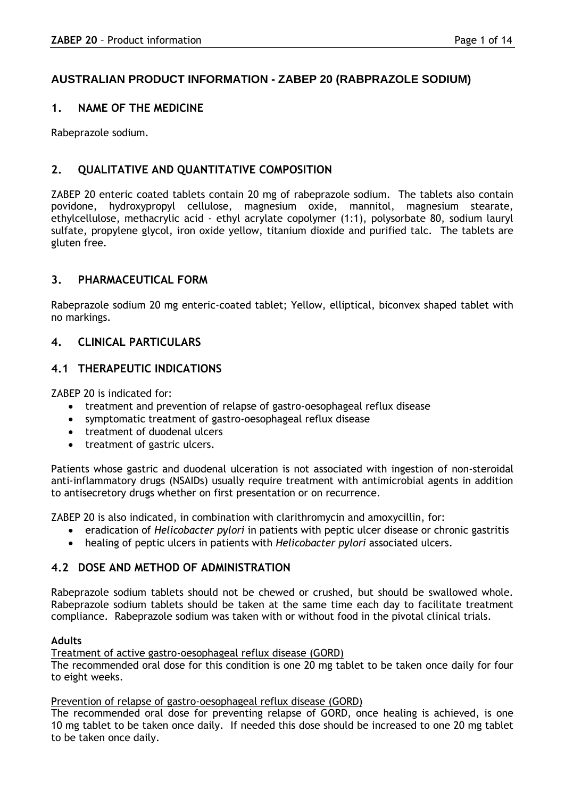# **AUSTRALIAN PRODUCT INFORMATION - ZABEP 20 (RABPRAZOLE SODIUM)**

# **1. NAME OF THE MEDICINE**

Rabeprazole sodium.

# **2. QUALITATIVE AND QUANTITATIVE COMPOSITION**

ZABEP 20 enteric coated tablets contain 20 mg of rabeprazole sodium. The tablets also contain povidone, hydroxypropyl cellulose, magnesium oxide, mannitol, magnesium stearate, ethylcellulose, methacrylic acid - ethyl acrylate copolymer (1:1), polysorbate 80, sodium lauryl sulfate, propylene glycol, iron oxide yellow, titanium dioxide and purified talc. The tablets are gluten free.

# **3. PHARMACEUTICAL FORM**

Rabeprazole sodium 20 mg enteric-coated tablet; Yellow, elliptical, biconvex shaped tablet with no markings.

# **4. CLINICAL PARTICULARS**

# **4.1 THERAPEUTIC INDICATIONS**

ZABEP 20 is indicated for:

- treatment and prevention of relapse of gastro-oesophageal reflux disease
- symptomatic treatment of gastro-oesophageal reflux disease
- treatment of duodenal ulcers
- treatment of gastric ulcers.

Patients whose gastric and duodenal ulceration is not associated with ingestion of non-steroidal anti-inflammatory drugs (NSAIDs) usually require treatment with antimicrobial agents in addition to antisecretory drugs whether on first presentation or on recurrence.

ZABEP 20 is also indicated, in combination with clarithromycin and amoxycillin, for:

- eradication of *Helicobacter pylori* in patients with peptic ulcer disease or chronic gastritis
- healing of peptic ulcers in patients with *Helicobacter pylori* associated ulcers.

# **4.2 DOSE AND METHOD OF ADMINISTRATION**

Rabeprazole sodium tablets should not be chewed or crushed, but should be swallowed whole. Rabeprazole sodium tablets should be taken at the same time each day to facilitate treatment compliance. Rabeprazole sodium was taken with or without food in the pivotal clinical trials.

# **Adults**

Treatment of active gastro-oesophageal reflux disease (GORD)

The recommended oral dose for this condition is one 20 mg tablet to be taken once daily for four to eight weeks.

### Prevention of relapse of gastro-oesophageal reflux disease (GORD)

The recommended oral dose for preventing relapse of GORD, once healing is achieved, is one 10 mg tablet to be taken once daily. If needed this dose should be increased to one 20 mg tablet to be taken once daily.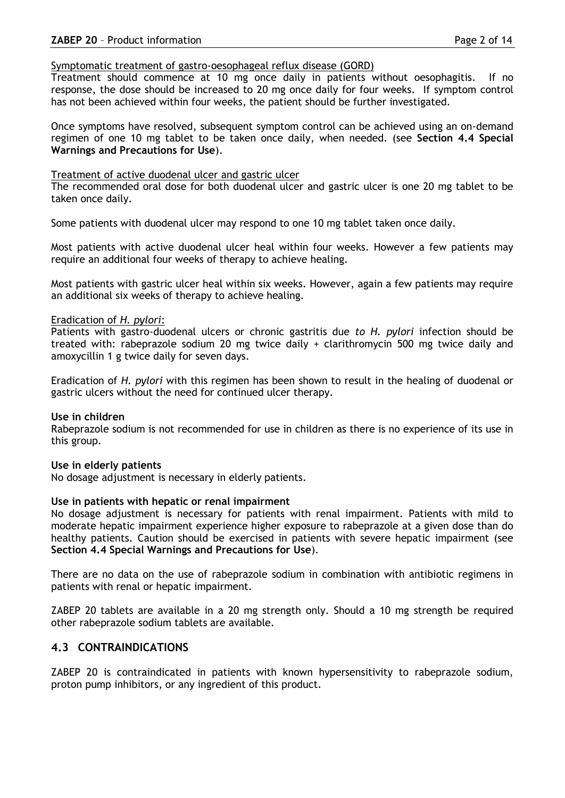### Symptomatic treatment of gastro-oesophageal reflux disease (GORD)

Treatment should commence at 10 mg once daily in patients without oesophagitis. If no response, the dose should be increased to 20 mg once daily for four weeks. If symptom control has not been achieved within four weeks, the patient should be further investigated.

Once symptoms have resolved, subsequent symptom control can be achieved using an on-demand regimen of one 10 mg tablet to be taken once daily, when needed. (see **Section 4.4 Special Warnings and Precautions for Use**).

### Treatment of active duodenal ulcer and gastric ulcer

The recommended oral dose for both duodenal ulcer and gastric ulcer is one 20 mg tablet to be taken once daily.

Some patients with duodenal ulcer may respond to one 10 mg tablet taken once daily.

Most patients with active duodenal ulcer heal within four weeks. However a few patients may require an additional four weeks of therapy to achieve healing.

Most patients with gastric ulcer heal within six weeks. However, again a few patients may require an additional six weeks of therapy to achieve healing.

### Eradication of *H. pylori*:

Patients with gastro-duodenal ulcers or chronic gastritis due *to H. pylori* infection should be treated with: rabeprazole sodium 20 mg twice daily + clarithromycin 500 mg twice daily and amoxycillin 1 g twice daily for seven days.

Eradication of *H. pylori* with this regimen has been shown to result in the healing of duodenal or gastric ulcers without the need for continued ulcer therapy.

#### **Use in children**

Rabeprazole sodium is not recommended for use in children as there is no experience of its use in this group.

#### **Use in elderly patients**

No dosage adjustment is necessary in elderly patients.

#### **Use in patients with hepatic or renal impairment**

No dosage adjustment is necessary for patients with renal impairment. Patients with mild to moderate hepatic impairment experience higher exposure to rabeprazole at a given dose than do healthy patients. Caution should be exercised in patients with severe hepatic impairment (see **Section 4.4 Special Warnings and Precautions for Use**).

There are no data on the use of rabeprazole sodium in combination with antibiotic regimens in patients with renal or hepatic impairment.

ZABEP 20 tablets are available in a 20 mg strength only. Should a 10 mg strength be required other rabeprazole sodium tablets are available.

# **4.3 CONTRAINDICATIONS**

ZABEP 20 is contraindicated in patients with known hypersensitivity to rabeprazole sodium, proton pump inhibitors, or any ingredient of this product.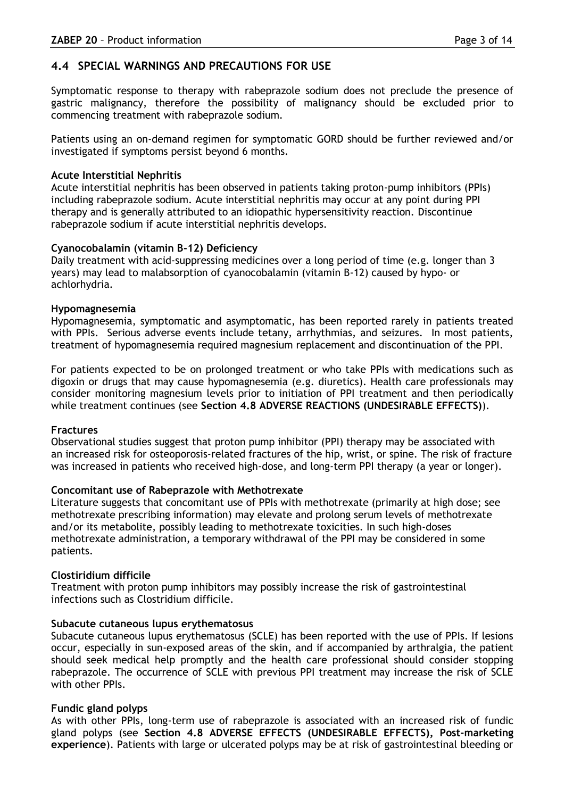# **4.4 SPECIAL WARNINGS AND PRECAUTIONS FOR USE**

Symptomatic response to therapy with rabeprazole sodium does not preclude the presence of gastric malignancy, therefore the possibility of malignancy should be excluded prior to commencing treatment with rabeprazole sodium.

Patients using an on-demand regimen for symptomatic GORD should be further reviewed and/or investigated if symptoms persist beyond 6 months.

# **Acute Interstitial Nephritis**

Acute interstitial nephritis has been observed in patients taking proton-pump inhibitors (PPIs) including rabeprazole sodium. Acute interstitial nephritis may occur at any point during PPI therapy and is generally attributed to an idiopathic hypersensitivity reaction. Discontinue rabeprazole sodium if acute interstitial nephritis develops.

# **Cyanocobalamin (vitamin B-12) Deficiency**

Daily treatment with acid-suppressing medicines over a long period of time (e.g. longer than 3 years) may lead to malabsorption of cyanocobalamin (vitamin B-12) caused by hypo- or achlorhydria.

# **Hypomagnesemia**

Hypomagnesemia, symptomatic and asymptomatic, has been reported rarely in patients treated with PPIs. Serious adverse events include tetany, arrhythmias, and seizures. In most patients, treatment of hypomagnesemia required magnesium replacement and discontinuation of the PPI.

For patients expected to be on prolonged treatment or who take PPIs with medications such as digoxin or drugs that may cause hypomagnesemia (e.g. diuretics). Health care professionals may consider monitoring magnesium levels prior to initiation of PPI treatment and then periodically while treatment continues (see **Section 4.8 ADVERSE REACTIONS (UNDESIRABLE EFFECTS)**).

# **Fractures**

Observational studies suggest that proton pump inhibitor (PPI) therapy may be associated with an increased risk for osteoporosis-related fractures of the hip, wrist, or spine. The risk of fracture was increased in patients who received high-dose, and long-term PPI therapy (a year or longer).

# **Concomitant use of Rabeprazole with Methotrexate**

Literature suggests that concomitant use of PPIs with methotrexate (primarily at high dose; see methotrexate prescribing information) may elevate and prolong serum levels of methotrexate and/or its metabolite, possibly leading to methotrexate toxicities. In such high-doses methotrexate administration, a temporary withdrawal of the PPI may be considered in some patients.

# **Clostiridium difficile**

Treatment with proton pump inhibitors may possibly increase the risk of gastrointestinal infections such as Clostridium difficile.

# **Subacute cutaneous lupus erythematosus**

Subacute cutaneous lupus erythematosus (SCLE) has been reported with the use of PPIs. If lesions occur, especially in sun-exposed areas of the skin, and if accompanied by arthralgia, the patient should seek medical help promptly and the health care professional should consider stopping rabeprazole. The occurrence of SCLE with previous PPI treatment may increase the risk of SCLE with other PPIs.

# **Fundic gland polyps**

As with other PPIs, long-term use of rabeprazole is associated with an increased risk of fundic gland polyps (see **Section 4.8 ADVERSE EFFECTS (UNDESIRABLE EFFECTS), Post-marketing experience**). Patients with large or ulcerated polyps may be at risk of gastrointestinal bleeding or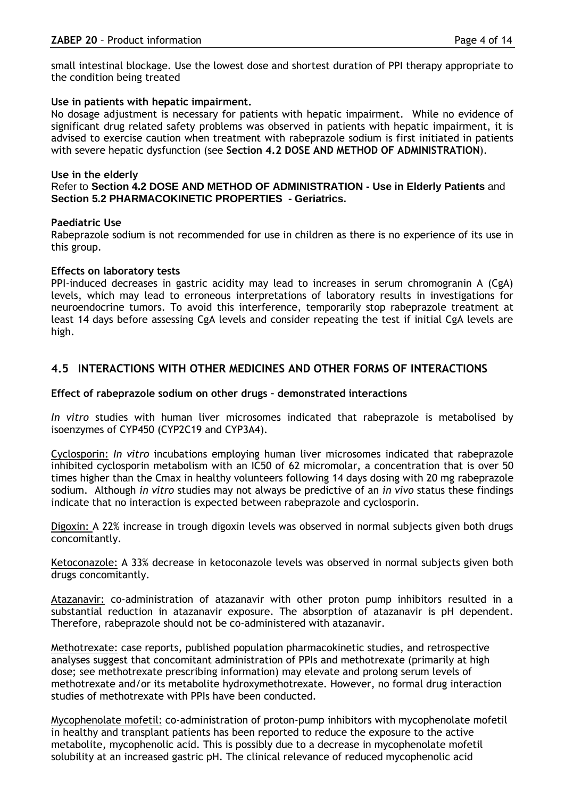small intestinal blockage. Use the lowest dose and shortest duration of PPI therapy appropriate to the condition being treated

# **Use in patients with hepatic impairment.**

No dosage adjustment is necessary for patients with hepatic impairment. While no evidence of significant drug related safety problems was observed in patients with hepatic impairment, it is advised to exercise caution when treatment with rabeprazole sodium is first initiated in patients with severe hepatic dysfunction (see **Section 4.2 DOSE AND METHOD OF ADMINISTRATION**).

### **Use in the elderly**

### Refer to **Section 4.2 DOSE AND METHOD OF ADMINISTRATION - Use in Elderly Patients** and **Section 5.2 PHARMACOKINETIC PROPERTIES - Geriatrics.**

### **Paediatric Use**

Rabeprazole sodium is not recommended for use in children as there is no experience of its use in this group.

### **Effects on laboratory tests**

PPI-induced decreases in gastric acidity may lead to increases in serum chromogranin A (CgA) levels, which may lead to erroneous interpretations of laboratory results in investigations for neuroendocrine tumors. To avoid this interference, temporarily stop rabeprazole treatment at least 14 days before assessing CgA levels and consider repeating the test if initial CgA levels are high.

# **4.5 INTERACTIONS WITH OTHER MEDICINES AND OTHER FORMS OF INTERACTIONS**

### **Effect of rabeprazole sodium on other drugs – demonstrated interactions**

*In vitro* studies with human liver microsomes indicated that rabeprazole is metabolised by isoenzymes of CYP450 (CYP2C19 and CYP3A4).

Cyclosporin: *In vitro* incubations employing human liver microsomes indicated that rabeprazole inhibited cyclosporin metabolism with an IC50 of 62 micromolar, a concentration that is over 50 times higher than the Cmax in healthy volunteers following 14 days dosing with 20 mg rabeprazole sodium. Although *in vitro* studies may not always be predictive of an *in vivo* status these findings indicate that no interaction is expected between rabeprazole and cyclosporin.

Digoxin: A 22% increase in trough digoxin levels was observed in normal subjects given both drugs concomitantly.

Ketoconazole: A 33% decrease in ketoconazole levels was observed in normal subjects given both drugs concomitantly.

Atazanavir: co-administration of atazanavir with other proton pump inhibitors resulted in a substantial reduction in atazanavir exposure. The absorption of atazanavir is pH dependent. Therefore, rabeprazole should not be co-administered with atazanavir.

Methotrexate: case reports, published population pharmacokinetic studies, and retrospective analyses suggest that concomitant administration of PPIs and methotrexate (primarily at high dose; see methotrexate prescribing information) may elevate and prolong serum levels of methotrexate and/or its metabolite hydroxymethotrexate. However, no formal drug interaction studies of methotrexate with PPIs have been conducted.

Mycophenolate mofetil: co-administration of proton-pump inhibitors with mycophenolate mofetil in healthy and transplant patients has been reported to reduce the exposure to the active metabolite, mycophenolic acid. This is possibly due to a decrease in mycophenolate mofetil solubility at an increased gastric pH. The clinical relevance of reduced mycophenolic acid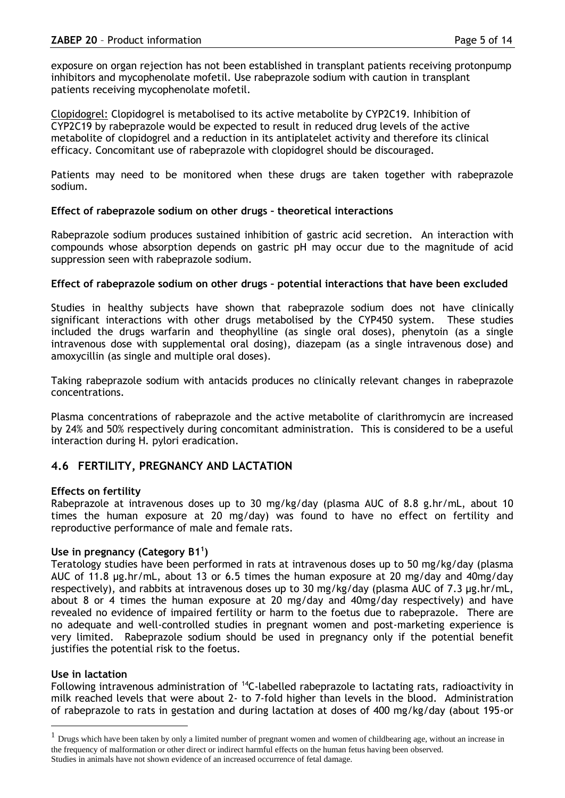exposure on organ rejection has not been established in transplant patients receiving protonpump inhibitors and mycophenolate mofetil. Use rabeprazole sodium with caution in transplant patients receiving mycophenolate mofetil.

Clopidogrel: Clopidogrel is metabolised to its active metabolite by CYP2C19. Inhibition of CYP2C19 by rabeprazole would be expected to result in reduced drug levels of the active metabolite of clopidogrel and a reduction in its antiplatelet activity and therefore its clinical efficacy. Concomitant use of rabeprazole with clopidogrel should be discouraged.

Patients may need to be monitored when these drugs are taken together with rabeprazole sodium.

# **Effect of rabeprazole sodium on other drugs – theoretical interactions**

Rabeprazole sodium produces sustained inhibition of gastric acid secretion. An interaction with compounds whose absorption depends on gastric pH may occur due to the magnitude of acid suppression seen with rabeprazole sodium.

# **Effect of rabeprazole sodium on other drugs – potential interactions that have been excluded**

Studies in healthy subjects have shown that rabeprazole sodium does not have clinically significant interactions with other drugs metabolised by the CYP450 system. These studies included the drugs warfarin and theophylline (as single oral doses), phenytoin (as a single intravenous dose with supplemental oral dosing), diazepam (as a single intravenous dose) and amoxycillin (as single and multiple oral doses).

Taking rabeprazole sodium with antacids produces no clinically relevant changes in rabeprazole concentrations.

Plasma concentrations of rabeprazole and the active metabolite of clarithromycin are increased by 24% and 50% respectively during concomitant administration. This is considered to be a useful interaction during H. pylori eradication.

# **4.6 FERTILITY, PREGNANCY AND LACTATION**

# **Effects on fertility**

Rabeprazole at intravenous doses up to 30 mg/kg/day (plasma AUC of 8.8 g.hr/mL, about 10 times the human exposure at 20 mg/day) was found to have no effect on fertility and reproductive performance of male and female rats.

# **Use in pregnancy (Category B1<sup>1</sup> )**

Teratology studies have been performed in rats at intravenous doses up to 50 mg/kg/day (plasma AUC of 11.8 µg.hr/mL, about 13 or 6.5 times the human exposure at 20 mg/day and 40mg/day respectively), and rabbits at intravenous doses up to 30 mg/kg/day (plasma AUC of 7.3 µg.hr/mL, about 8 or 4 times the human exposure at 20 mg/day and 40mg/day respectively) and have revealed no evidence of impaired fertility or harm to the foetus due to rabeprazole. There are no adequate and well-controlled studies in pregnant women and post-marketing experience is very limited. Rabeprazole sodium should be used in pregnancy only if the potential benefit justifies the potential risk to the foetus.

# **Use in lactation**

Following intravenous administration of <sup>14</sup>C-labelled rabeprazole to lactating rats, radioactivity in milk reached levels that were about 2- to 7-fold higher than levels in the blood. Administration of rabeprazole to rats in gestation and during lactation at doses of 400 mg/kg/day (about 195-or

 $<sup>1</sup>$  Drugs which have been taken by only a limited number of pregnant women and women of childbearing age, without an increase in</sup> the frequency of malformation or other direct or indirect harmful effects on the human fetus having been observed. Studies in animals have not shown evidence of an increased occurrence of fetal damage.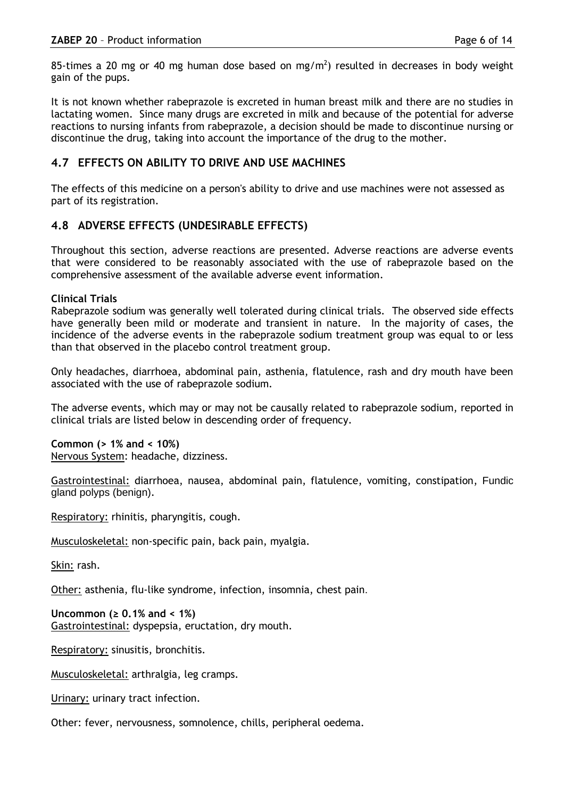85-times a 20 mg or 40 mg human dose based on mg/m<sup>2</sup>) resulted in decreases in body weight gain of the pups.

It is not known whether rabeprazole is excreted in human breast milk and there are no studies in lactating women. Since many drugs are excreted in milk and because of the potential for adverse reactions to nursing infants from rabeprazole, a decision should be made to discontinue nursing or discontinue the drug, taking into account the importance of the drug to the mother.

# **4.7 EFFECTS ON ABILITY TO DRIVE AND USE MACHINES**

The effects of this medicine on a person's ability to drive and use machines were not assessed as part of its registration.

# **4.8 ADVERSE EFFECTS (UNDESIRABLE EFFECTS)**

Throughout this section, adverse reactions are presented. Adverse reactions are adverse events that were considered to be reasonably associated with the use of rabeprazole based on the comprehensive assessment of the available adverse event information.

# **Clinical Trials**

Rabeprazole sodium was generally well tolerated during clinical trials. The observed side effects have generally been mild or moderate and transient in nature. In the majority of cases, the incidence of the adverse events in the rabeprazole sodium treatment group was equal to or less than that observed in the placebo control treatment group.

Only headaches, diarrhoea, abdominal pain, asthenia, flatulence, rash and dry mouth have been associated with the use of rabeprazole sodium.

The adverse events, which may or may not be causally related to rabeprazole sodium, reported in clinical trials are listed below in descending order of frequency.

# **Common (> 1% and < 10%)**

Nervous System: headache, dizziness.

Gastrointestinal: diarrhoea, nausea, abdominal pain, flatulence, vomiting, constipation, Fundic gland polyps (benign).

Respiratory: rhinitis, pharyngitis, cough.

Musculoskeletal: non-specific pain, back pain, myalgia.

Skin: rash.

Other: asthenia, flu-like syndrome, infection, insomnia, chest pain.

**Uncommon (≥ 0.1% and < 1%)**  Gastrointestinal: dyspepsia, eructation, dry mouth.

Respiratory: sinusitis, bronchitis.

Musculoskeletal: arthralgia, leg cramps.

Urinary: urinary tract infection.

Other: fever, nervousness, somnolence, chills, peripheral oedema.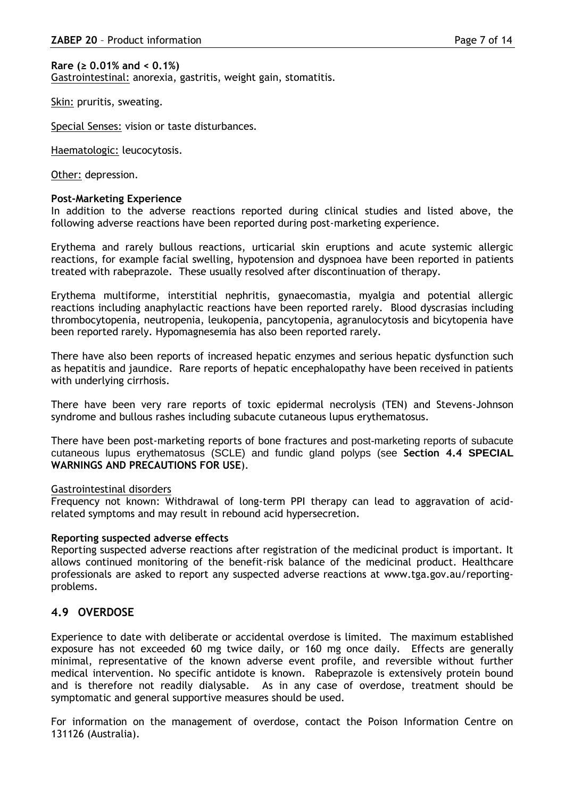#### **Rare (≥ 0.01% and < 0.1%)**

Gastrointestinal: anorexia, gastritis, weight gain, stomatitis.

Skin: pruritis, sweating.

Special Senses: vision or taste disturbances.

Haematologic: leucocytosis.

Other: depression.

### **Post-Marketing Experience**

In addition to the adverse reactions reported during clinical studies and listed above, the following adverse reactions have been reported during post-marketing experience.

Erythema and rarely bullous reactions, urticarial skin eruptions and acute systemic allergic reactions, for example facial swelling, hypotension and dyspnoea have been reported in patients treated with rabeprazole. These usually resolved after discontinuation of therapy.

Erythema multiforme, interstitial nephritis, gynaecomastia, myalgia and potential allergic reactions including anaphylactic reactions have been reported rarely. Blood dyscrasias including thrombocytopenia, neutropenia, leukopenia, pancytopenia, agranulocytosis and bicytopenia have been reported rarely. Hypomagnesemia has also been reported rarely.

There have also been reports of increased hepatic enzymes and serious hepatic dysfunction such as hepatitis and jaundice. Rare reports of hepatic encephalopathy have been received in patients with underlying cirrhosis.

There have been very rare reports of toxic epidermal necrolysis (TEN) and Stevens-Johnson syndrome and bullous rashes including subacute cutaneous lupus erythematosus.

There have been post-marketing reports of bone fractures and post-marketing reports of subacute cutaneous lupus erythematosus (SCLE) and fundic gland polyps (see **Section 4.4 SPECIAL WARNINGS AND PRECAUTIONS FOR USE**).

#### Gastrointestinal disorders

Frequency not known: Withdrawal of long-term PPI therapy can lead to aggravation of acidrelated symptoms and may result in rebound acid hypersecretion.

#### **Reporting suspected adverse effects**

Reporting suspected adverse reactions after registration of the medicinal product is important. It allows continued monitoring of the benefit-risk balance of the medicinal product. Healthcare professionals are asked to report any suspected adverse reactions at www.tga.gov.au/reportingproblems.

# **4.9 OVERDOSE**

Experience to date with deliberate or accidental overdose is limited. The maximum established exposure has not exceeded 60 mg twice daily, or 160 mg once daily. Effects are generally minimal, representative of the known adverse event profile, and reversible without further medical intervention. No specific antidote is known. Rabeprazole is extensively protein bound and is therefore not readily dialysable. As in any case of overdose, treatment should be symptomatic and general supportive measures should be used.

For information on the management of overdose, contact the Poison Information Centre on 131126 (Australia).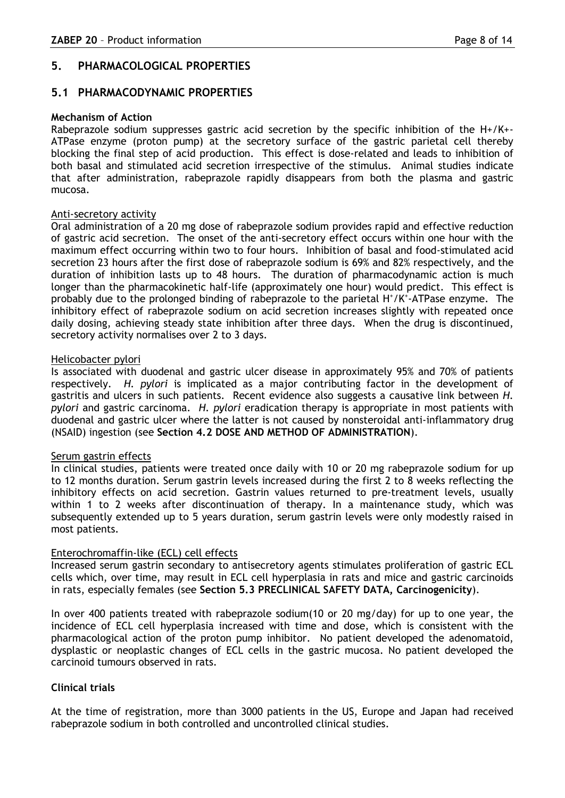# **5. PHARMACOLOGICAL PROPERTIES**

# **5.1 PHARMACODYNAMIC PROPERTIES**

#### **Mechanism of Action**

Rabeprazole sodium suppresses gastric acid secretion by the specific inhibition of the H+/K+- ATPase enzyme (proton pump) at the secretory surface of the gastric parietal cell thereby blocking the final step of acid production. This effect is dose-related and leads to inhibition of both basal and stimulated acid secretion irrespective of the stimulus. Animal studies indicate that after administration, rabeprazole rapidly disappears from both the plasma and gastric mucosa.

### Anti-secretory activity

Oral administration of a 20 mg dose of rabeprazole sodium provides rapid and effective reduction of gastric acid secretion. The onset of the anti-secretory effect occurs within one hour with the maximum effect occurring within two to four hours. Inhibition of basal and food-stimulated acid secretion 23 hours after the first dose of rabeprazole sodium is 69% and 82% respectively, and the duration of inhibition lasts up to 48 hours. The duration of pharmacodynamic action is much longer than the pharmacokinetic half-life (approximately one hour) would predict. This effect is probably due to the prolonged binding of rabeprazole to the parietal H<sup>+</sup>/K<sup>+</sup>-ATPase enzyme. The inhibitory effect of rabeprazole sodium on acid secretion increases slightly with repeated once daily dosing, achieving steady state inhibition after three days. When the drug is discontinued, secretory activity normalises over 2 to 3 days.

### Helicobacter pylori

Is associated with duodenal and gastric ulcer disease in approximately 95% and 70% of patients respectively. *H. pylori* is implicated as a major contributing factor in the development of gastritis and ulcers in such patients. Recent evidence also suggests a causative link between *H. pylori* and gastric carcinoma. *H. pylori* eradication therapy is appropriate in most patients with duodenal and gastric ulcer where the latter is not caused by nonsteroidal anti-inflammatory drug (NSAID) ingestion (see **Section 4.2 DOSE AND METHOD OF ADMINISTRATION**).

#### Serum gastrin effects

In clinical studies, patients were treated once daily with 10 or 20 mg rabeprazole sodium for up to 12 months duration. Serum gastrin levels increased during the first 2 to 8 weeks reflecting the inhibitory effects on acid secretion. Gastrin values returned to pre-treatment levels, usually within 1 to 2 weeks after discontinuation of therapy. In a maintenance study, which was subsequently extended up to 5 years duration, serum gastrin levels were only modestly raised in most patients.

# Enterochromaffin-like (ECL) cell effects

Increased serum gastrin secondary to antisecretory agents stimulates proliferation of gastric ECL cells which, over time, may result in ECL cell hyperplasia in rats and mice and gastric carcinoids in rats, especially females (see **Section 5.3 PRECLINICAL SAFETY DATA, Carcinogenicity**).

In over 400 patients treated with rabeprazole sodium(10 or 20 mg/day) for up to one year, the incidence of ECL cell hyperplasia increased with time and dose, which is consistent with the pharmacological action of the proton pump inhibitor. No patient developed the adenomatoid, dysplastic or neoplastic changes of ECL cells in the gastric mucosa. No patient developed the carcinoid tumours observed in rats.

# **Clinical trials**

At the time of registration, more than 3000 patients in the US, Europe and Japan had received rabeprazole sodium in both controlled and uncontrolled clinical studies.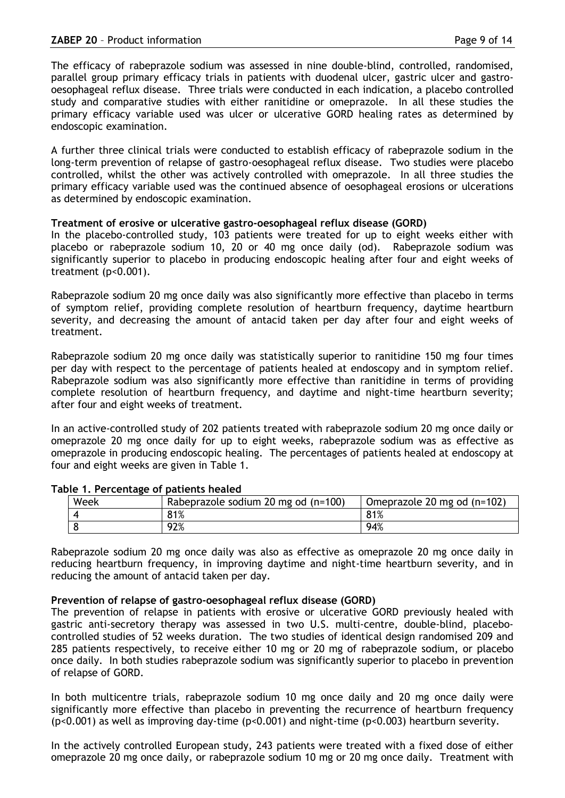The efficacy of rabeprazole sodium was assessed in nine double-blind, controlled, randomised, parallel group primary efficacy trials in patients with duodenal ulcer, gastric ulcer and gastrooesophageal reflux disease. Three trials were conducted in each indication, a placebo controlled study and comparative studies with either ranitidine or omeprazole. In all these studies the primary efficacy variable used was ulcer or ulcerative GORD healing rates as determined by endoscopic examination.

A further three clinical trials were conducted to establish efficacy of rabeprazole sodium in the long-term prevention of relapse of gastro-oesophageal reflux disease. Two studies were placebo controlled, whilst the other was actively controlled with omeprazole. In all three studies the primary efficacy variable used was the continued absence of oesophageal erosions or ulcerations as determined by endoscopic examination.

# **Treatment of erosive or ulcerative gastro-oesophageal reflux disease (GORD)**

In the placebo-controlled study, 103 patients were treated for up to eight weeks either with placebo or rabeprazole sodium 10, 20 or 40 mg once daily (od). Rabeprazole sodium was significantly superior to placebo in producing endoscopic healing after four and eight weeks of treatment (p<0.001).

Rabeprazole sodium 20 mg once daily was also significantly more effective than placebo in terms of symptom relief, providing complete resolution of heartburn frequency, daytime heartburn severity, and decreasing the amount of antacid taken per day after four and eight weeks of treatment.

Rabeprazole sodium 20 mg once daily was statistically superior to ranitidine 150 mg four times per day with respect to the percentage of patients healed at endoscopy and in symptom relief. Rabeprazole sodium was also significantly more effective than ranitidine in terms of providing complete resolution of heartburn frequency, and daytime and night-time heartburn severity; after four and eight weeks of treatment.

In an active-controlled study of 202 patients treated with rabeprazole sodium 20 mg once daily or omeprazole 20 mg once daily for up to eight weeks, rabeprazole sodium was as effective as omeprazole in producing endoscopic healing. The percentages of patients healed at endoscopy at four and eight weeks are given in Table 1.

| Week | Rabeprazole sodium 20 mg od (n=100) | Omeprazole 20 mg od (n=102) |
|------|-------------------------------------|-----------------------------|
|      | 81%                                 | 81%                         |
|      | 92%                                 | 94%                         |

# **Table 1. Percentage of patients healed**

Rabeprazole sodium 20 mg once daily was also as effective as omeprazole 20 mg once daily in reducing heartburn frequency, in improving daytime and night-time heartburn severity, and in reducing the amount of antacid taken per day.

# **Prevention of relapse of gastro-oesophageal reflux disease (GORD)**

The prevention of relapse in patients with erosive or ulcerative GORD previously healed with gastric anti-secretory therapy was assessed in two U.S. multi-centre, double-blind, placebocontrolled studies of 52 weeks duration. The two studies of identical design randomised 209 and 285 patients respectively, to receive either 10 mg or 20 mg of rabeprazole sodium, or placebo once daily. In both studies rabeprazole sodium was significantly superior to placebo in prevention of relapse of GORD.

In both multicentre trials, rabeprazole sodium 10 mg once daily and 20 mg once daily were significantly more effective than placebo in preventing the recurrence of heartburn frequency (p<0.001) as well as improving day-time (p<0.001) and night-time (p<0.003) heartburn severity.

In the actively controlled European study, 243 patients were treated with a fixed dose of either omeprazole 20 mg once daily, or rabeprazole sodium 10 mg or 20 mg once daily. Treatment with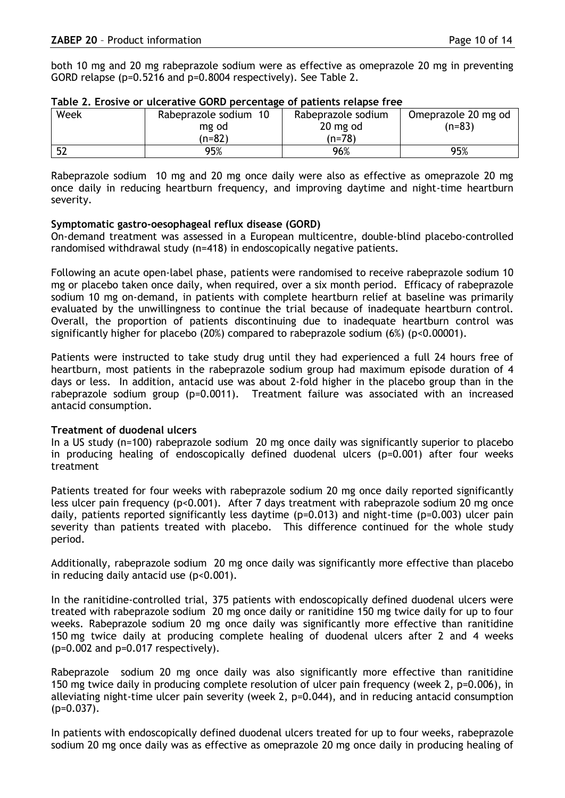both 10 mg and 20 mg rabeprazole sodium were as effective as omeprazole 20 mg in preventing GORD relapse (p=0.5216 and p=0.8004 respectively). See Table 2.

| Week | Rabeprazole sodium 10 | Rabeprazole sodium | Omeprazole 20 mg od |
|------|-----------------------|--------------------|---------------------|
|      | mg od                 | 20 mg od           | $(n=83)$            |
|      | (n=82)                | (n=78)             |                     |
| 片つ   | 95%                   | 96%                | 95%                 |

|  | Table 2. Erosive or ulcerative GORD percentage of patients relapse free |
|--|-------------------------------------------------------------------------|
|  |                                                                         |

Rabeprazole sodium 10 mg and 20 mg once daily were also as effective as omeprazole 20 mg once daily in reducing heartburn frequency, and improving daytime and night-time heartburn severity.

### **Symptomatic gastro-oesophageal reflux disease (GORD)**

On-demand treatment was assessed in a European multicentre, double-blind placebo-controlled randomised withdrawal study (n=418) in endoscopically negative patients.

Following an acute open-label phase, patients were randomised to receive rabeprazole sodium 10 mg or placebo taken once daily, when required, over a six month period. Efficacy of rabeprazole sodium 10 mg on-demand, in patients with complete heartburn relief at baseline was primarily evaluated by the unwillingness to continue the trial because of inadequate heartburn control. Overall, the proportion of patients discontinuing due to inadequate heartburn control was significantly higher for placebo (20%) compared to rabeprazole sodium (6%) (p<0.00001).

Patients were instructed to take study drug until they had experienced a full 24 hours free of heartburn, most patients in the rabeprazole sodium group had maximum episode duration of 4 days or less. In addition, antacid use was about 2-fold higher in the placebo group than in the rabeprazole sodium group (p=0.0011). Treatment failure was associated with an increased antacid consumption.

# **Treatment of duodenal ulcers**

In a US study (n=100) rabeprazole sodium 20 mg once daily was significantly superior to placebo in producing healing of endoscopically defined duodenal ulcers (p=0.001) after four weeks treatment

Patients treated for four weeks with rabeprazole sodium 20 mg once daily reported significantly less ulcer pain frequency (p<0.001). After 7 days treatment with rabeprazole sodium 20 mg once daily, patients reported significantly less daytime (p=0.013) and night-time (p=0.003) ulcer pain severity than patients treated with placebo. This difference continued for the whole study period.

Additionally, rabeprazole sodium 20 mg once daily was significantly more effective than placebo in reducing daily antacid use  $(p<0.001)$ .

In the ranitidine-controlled trial, 375 patients with endoscopically defined duodenal ulcers were treated with rabeprazole sodium 20 mg once daily or ranitidine 150 mg twice daily for up to four weeks. Rabeprazole sodium 20 mg once daily was significantly more effective than ranitidine 150 mg twice daily at producing complete healing of duodenal ulcers after 2 and 4 weeks (p=0.002 and p=0.017 respectively).

Rabeprazole sodium 20 mg once daily was also significantly more effective than ranitidine 150 mg twice daily in producing complete resolution of ulcer pain frequency (week 2, p=0.006), in alleviating night-time ulcer pain severity (week 2, p=0.044), and in reducing antacid consumption  $(p=0.037)$ .

In patients with endoscopically defined duodenal ulcers treated for up to four weeks, rabeprazole sodium 20 mg once daily was as effective as omeprazole 20 mg once daily in producing healing of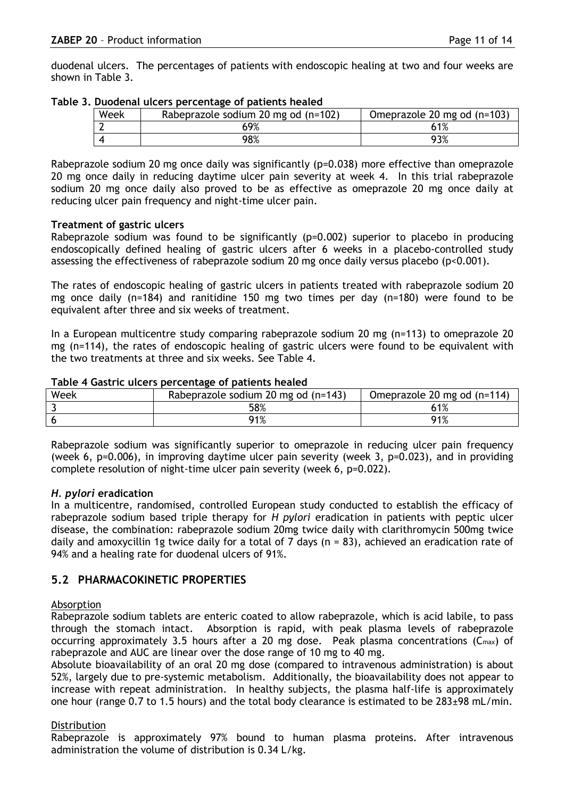duodenal ulcers. The percentages of patients with endoscopic healing at two and four weeks are shown in Table 3.

|  |  | Table 3. Duodenal ulcers percentage of patients healed |
|--|--|--------------------------------------------------------|
|  |  |                                                        |

| Week | Rabeprazole sodium 20 mg od (n=102) | Omeprazole 20 mg od (n=103) |
|------|-------------------------------------|-----------------------------|
|      | 69%                                 |                             |
|      | 98%                                 | 93%                         |

Rabeprazole sodium 20 mg once daily was significantly (p=0.038) more effective than omeprazole 20 mg once daily in reducing daytime ulcer pain severity at week 4. In this trial rabeprazole sodium 20 mg once daily also proved to be as effective as omeprazole 20 mg once daily at reducing ulcer pain frequency and night-time ulcer pain.

# **Treatment of gastric ulcers**

Rabeprazole sodium was found to be significantly (p=0.002) superior to placebo in producing endoscopically defined healing of gastric ulcers after 6 weeks in a placebo-controlled study assessing the effectiveness of rabeprazole sodium 20 mg once daily versus placebo (p<0.001).

The rates of endoscopic healing of gastric ulcers in patients treated with rabeprazole sodium 20 mg once daily (n=184) and ranitidine 150 mg two times per day (n=180) were found to be equivalent after three and six weeks of treatment.

In a European multicentre study comparing rabeprazole sodium 20 mg (n=113) to omeprazole 20 mg (n=114), the rates of endoscopic healing of gastric ulcers were found to be equivalent with the two treatments at three and six weeks. See Table 4.

| Week | Rabeprazole sodium 20 mg od (n=143) | Omeprazole 20 mg od (n=114) |
|------|-------------------------------------|-----------------------------|
|      | 58%                                 | 61%                         |
|      | 91%                                 | 91%                         |

#### **Table 4 Gastric ulcers percentage of patients healed**

Rabeprazole sodium was significantly superior to omeprazole in reducing ulcer pain frequency (week 6,  $p=0.006$ ), in improving daytime ulcer pain severity (week 3,  $p=0.023$ ), and in providing complete resolution of night-time ulcer pain severity (week 6, p=0.022).

# *H. pylori* **eradication**

In a multicentre, randomised, controlled European study conducted to establish the efficacy of rabeprazole sodium based triple therapy for *H pylori* eradication in patients with peptic ulcer disease, the combination: rabeprazole sodium 20mg twice daily with clarithromycin 500mg twice daily and amoxycillin 1g twice daily for a total of 7 days ( $n = 83$ ), achieved an eradication rate of 94% and a healing rate for duodenal ulcers of 91%.

# **5.2 PHARMACOKINETIC PROPERTIES**

# Absorption

Rabeprazole sodium tablets are enteric coated to allow rabeprazole, which is acid labile, to pass through the stomach intact. Absorption is rapid, with peak plasma levels of rabeprazole occurring approximately 3.5 hours after a 20 mg dose. Peak plasma concentrations  $(C_{\text{max}})$  of rabeprazole and AUC are linear over the dose range of 10 mg to 40 mg.

Absolute bioavailability of an oral 20 mg dose (compared to intravenous administration) is about 52%, largely due to pre-systemic metabolism. Additionally, the bioavailability does not appear to increase with repeat administration. In healthy subjects, the plasma half-life is approximately one hour (range 0.7 to 1.5 hours) and the total body clearance is estimated to be 283±98 mL/min.

# Distribution

Rabeprazole is approximately 97% bound to human plasma proteins. After intravenous administration the volume of distribution is 0.34 L/kg.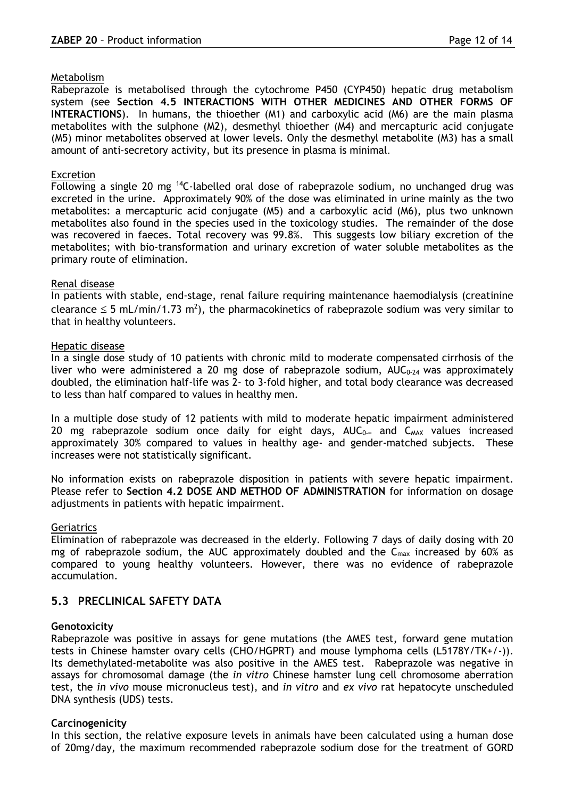#### Metabolism

Rabeprazole is metabolised through the cytochrome P450 (CYP450) hepatic drug metabolism system (see **Section 4.5 INTERACTIONS WITH OTHER MEDICINES AND OTHER FORMS OF INTERACTIONS**). In humans, the thioether (M1) and carboxylic acid (M6) are the main plasma metabolites with the sulphone (M2), desmethyl thioether (M4) and mercapturic acid conjugate (M5) minor metabolites observed at lower levels. Only the desmethyl metabolite (M3) has a small amount of anti-secretory activity, but its presence in plasma is minimal.

### Excretion

Following a single 20 mg <sup>14</sup>C-labelled oral dose of rabeprazole sodium, no unchanged drug was excreted in the urine. Approximately 90% of the dose was eliminated in urine mainly as the two metabolites: a mercapturic acid conjugate (M5) and a carboxylic acid (M6), plus two unknown metabolites also found in the species used in the toxicology studies. The remainder of the dose was recovered in faeces. Total recovery was 99.8%. This suggests low biliary excretion of the metabolites; with bio-transformation and urinary excretion of water soluble metabolites as the primary route of elimination.

### Renal disease

In patients with stable, end-stage, renal failure requiring maintenance haemodialysis (creatinine clearance  $\leq$  5 mL/min/1.73 m<sup>2</sup>), the pharmacokinetics of rabeprazole sodium was very similar to that in healthy volunteers.

### Hepatic disease

In a single dose study of 10 patients with chronic mild to moderate compensated cirrhosis of the liver who were administered a 20 mg dose of rabeprazole sodium,  $AUC_{0.24}$  was approximately doubled, the elimination half-life was 2- to 3-fold higher, and total body clearance was decreased to less than half compared to values in healthy men.

In a multiple dose study of 12 patients with mild to moderate hepatic impairment administered 20 mg rabeprazole sodium once daily for eight days,  $AUC_{0-∞}$  and  $C_{MAX}$  values increased approximately 30% compared to values in healthy age- and gender-matched subjects. These increases were not statistically significant.

No information exists on rabeprazole disposition in patients with severe hepatic impairment. Please refer to **Section 4.2 DOSE AND METHOD OF ADMINISTRATION** for information on dosage adjustments in patients with hepatic impairment.

# Geriatrics

Elimination of rabeprazole was decreased in the elderly. Following 7 days of daily dosing with 20 mg of rabeprazole sodium, the AUC approximately doubled and the  $C_{\text{max}}$  increased by 60% as compared to young healthy volunteers. However, there was no evidence of rabeprazole accumulation.

# **5.3 PRECLINICAL SAFETY DATA**

# **Genotoxicity**

Rabeprazole was positive in assays for gene mutations (the AMES test, forward gene mutation tests in Chinese hamster ovary cells (CHO/HGPRT) and mouse lymphoma cells (L5178Y/TK+/-)). Its demethylated-metabolite was also positive in the AMES test. Rabeprazole was negative in assays for chromosomal damage (the *in vitro* Chinese hamster lung cell chromosome aberration test, the *in vivo* mouse micronucleus test), and *in vitro* and *ex vivo* rat hepatocyte unscheduled DNA synthesis (UDS) tests.

# **Carcinogenicity**

In this section, the relative exposure levels in animals have been calculated using a human dose of 20mg/day, the maximum recommended rabeprazole sodium dose for the treatment of GORD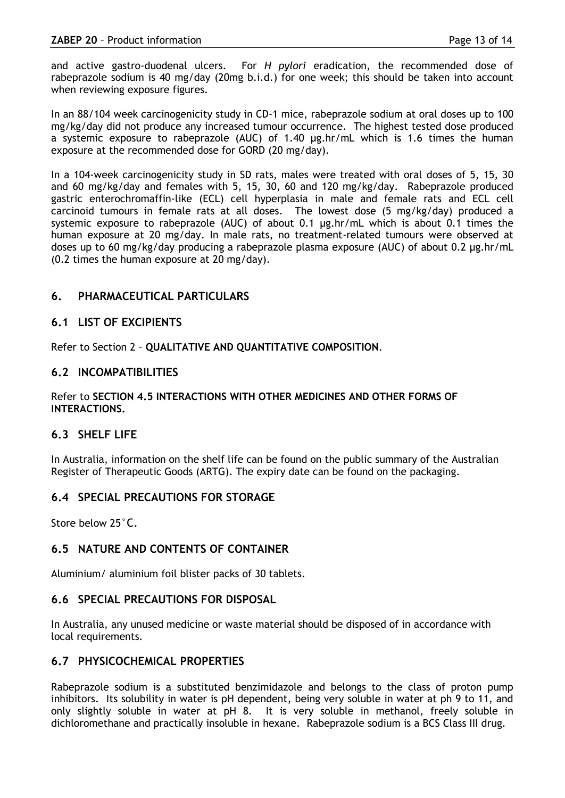and active gastro-duodenal ulcers. For *H pylori* eradication, the recommended dose of rabeprazole sodium is 40 mg/day (20mg b.i.d.) for one week; this should be taken into account when reviewing exposure figures.

In an 88/104 week carcinogenicity study in CD-1 mice, rabeprazole sodium at oral doses up to 100 mg/kg/day did not produce any increased tumour occurrence. The highest tested dose produced a systemic exposure to rabeprazole (AUC) of 1.40 µg.hr/mL which is 1.6 times the human exposure at the recommended dose for GORD (20 mg/day).

In a 104-week carcinogenicity study in SD rats, males were treated with oral doses of 5, 15, 30 and 60 mg/kg/day and females with 5, 15, 30, 60 and 120 mg/kg/day. Rabeprazole produced gastric enterochromaffin-like (ECL) cell hyperplasia in male and female rats and ECL cell carcinoid tumours in female rats at all doses. The lowest dose (5 mg/kg/day) produced a systemic exposure to rabeprazole (AUC) of about 0.1 µg.hr/mL which is about 0.1 times the human exposure at 20 mg/day. In male rats, no treatment-related tumours were observed at doses up to 60 mg/kg/day producing a rabeprazole plasma exposure (AUC) of about 0.2 µg.hr/mL (0.2 times the human exposure at 20 mg/day).

# **6. PHARMACEUTICAL PARTICULARS**

# **6.1 LIST OF EXCIPIENTS**

Refer to Section 2 – **QUALITATIVE AND QUANTITATIVE COMPOSITION**.

# **6.2 INCOMPATIBILITIES**

### Refer to **SECTION 4.5 INTERACTIONS WITH OTHER MEDICINES AND OTHER FORMS OF INTERACTIONS.**

# **6.3 SHELF LIFE**

In Australia, information on the shelf life can be found on the public summary of the Australian Register of Therapeutic Goods (ARTG). The expiry date can be found on the packaging.

# **6.4 SPECIAL PRECAUTIONS FOR STORAGE**

Store below 25°C.

# **6.5 NATURE AND CONTENTS OF CONTAINER**

Aluminium/ aluminium foil blister packs of 30 tablets.

# **6.6 SPECIAL PRECAUTIONS FOR DISPOSAL**

In Australia, any unused medicine or waste material should be disposed of in accordance with local requirements.

# **6.7 PHYSICOCHEMICAL PROPERTIES**

Rabeprazole sodium is a substituted benzimidazole and belongs to the class of proton pump inhibitors. Its solubility in water is pH dependent, being very soluble in water at ph 9 to 11, and only slightly soluble in water at pH 8. It is very soluble in methanol, freely soluble in dichloromethane and practically insoluble in hexane. Rabeprazole sodium is a BCS Class III drug.